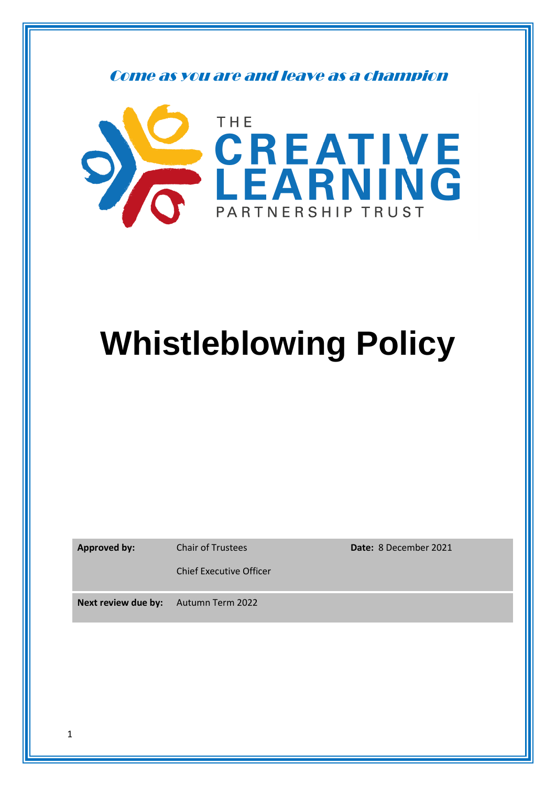Come as you are and leave as a champion



# **Whistleblowing Policy**

|  |  | <b>Approved by:</b> |  |
|--|--|---------------------|--|
|--|--|---------------------|--|

**Approved by:** Chair of Trustees

**Date:** 8 December 2021

Chief Executive Officer

**Next review due by:** Autumn Term 2022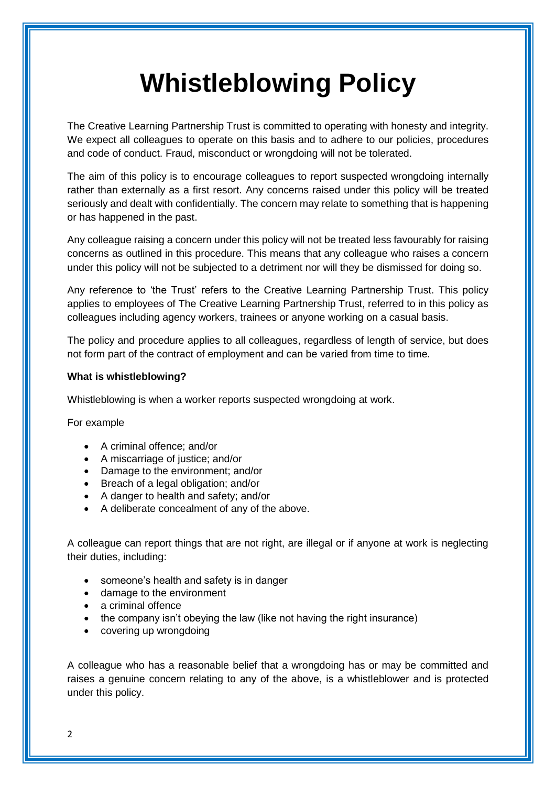# **Whistleblowing Policy**

The Creative Learning Partnership Trust is committed to operating with honesty and integrity. We expect all colleagues to operate on this basis and to adhere to our policies, procedures and code of conduct. Fraud, misconduct or wrongdoing will not be tolerated.

The aim of this policy is to encourage colleagues to report suspected wrongdoing internally rather than externally as a first resort. Any concerns raised under this policy will be treated seriously and dealt with confidentially. The concern may relate to something that is happening or has happened in the past.

Any colleague raising a concern under this policy will not be treated less favourably for raising concerns as outlined in this procedure. This means that any colleague who raises a concern under this policy will not be subjected to a detriment nor will they be dismissed for doing so.

Any reference to 'the Trust' refers to the Creative Learning Partnership Trust. This policy applies to employees of The Creative Learning Partnership Trust, referred to in this policy as colleagues including agency workers, trainees or anyone working on a casual basis.

The policy and procedure applies to all colleagues, regardless of length of service, but does not form part of the contract of employment and can be varied from time to time.

#### **What is whistleblowing?**

Whistleblowing is when a worker reports suspected wrongdoing at work.

For example

- A criminal offence; and/or
- A miscarriage of justice; and/or
- Damage to the environment; and/or
- Breach of a legal obligation; and/or
- A danger to health and safety; and/or
- A deliberate concealment of any of the above.

A colleague can report things that are not right, are illegal or if anyone at work is neglecting their duties, including:

- someone's health and safety is in danger
- damage to the environment
- a criminal offence
- the company isn't obeying the law (like not having the right insurance)
- covering up wrongdoing

A colleague who has a reasonable belief that a wrongdoing has or may be committed and raises a genuine concern relating to any of the above, is a whistleblower and is protected under this policy.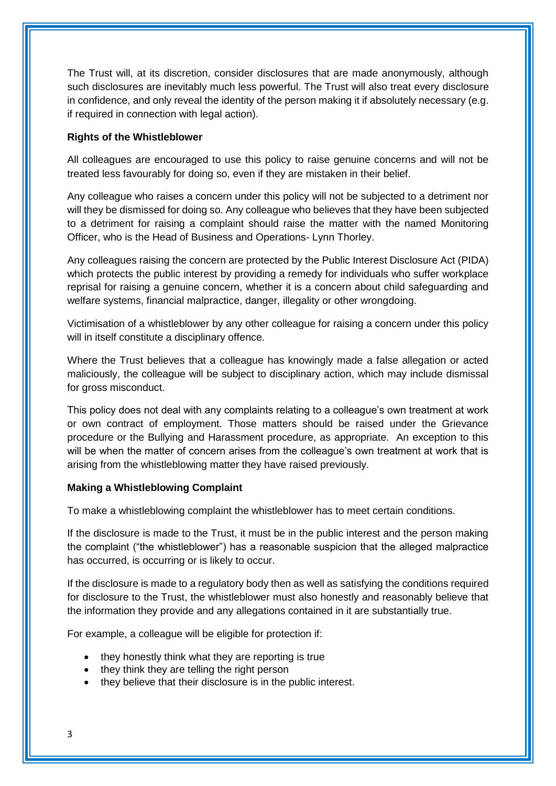The Trust will, at its discretion, consider disclosures that are made anonymously, although such disclosures are inevitably much less powerful. The Trust will also treat every disclosure in confidence, and only reveal the identity of the person making it if absolutely necessary (e.g. if required in connection with legal action).

### **Rights of the Whistleblower**

All colleagues are encouraged to use this policy to raise genuine concerns and will not be treated less favourably for doing so, even if they are mistaken in their belief.

Any colleague who raises a concern under this policy will not be subjected to a detriment nor will they be dismissed for doing so. Any colleague who believes that they have been subjected to a detriment for raising a complaint should raise the matter with the named Monitoring Officer, who is the Head of Business and Operations- Lynn Thorley.

Any colleagues raising the concern are protected by the Public Interest Disclosure Act (PIDA) which protects the public interest by providing a remedy for individuals who suffer workplace reprisal for raising a genuine concern, whether it is a concern about child safeguarding and welfare systems, financial malpractice, danger, illegality or other wrongdoing.

Victimisation of a whistleblower by any other colleague for raising a concern under this policy will in itself constitute a disciplinary offence.

Where the Trust believes that a colleague has knowingly made a false allegation or acted maliciously, the colleague will be subject to disciplinary action, which may include dismissal for gross misconduct.

This policy does not deal with any complaints relating to a colleague's own treatment at work or own contract of employment. Those matters should be raised under the Grievance procedure or the Bullying and Harassment procedure, as appropriate. An exception to this will be when the matter of concern arises from the colleague's own treatment at work that is arising from the whistleblowing matter they have raised previously.

#### **Making a Whistleblowing Complaint**

To make a whistleblowing complaint the whistleblower has to meet certain conditions.

If the disclosure is made to the Trust, it must be in the public interest and the person making the complaint ("the whistleblower") has a reasonable suspicion that the alleged malpractice has occurred, is occurring or is likely to occur.

If the disclosure is made to a regulatory body then as well as satisfying the conditions required for disclosure to the Trust, the whistleblower must also honestly and reasonably believe that the information they provide and any allegations contained in it are substantially true.

For example, a colleague will be eligible for protection if:

- they honestly think what they are reporting is true
- they think they are telling the right person
- they believe that their disclosure is in the public interest.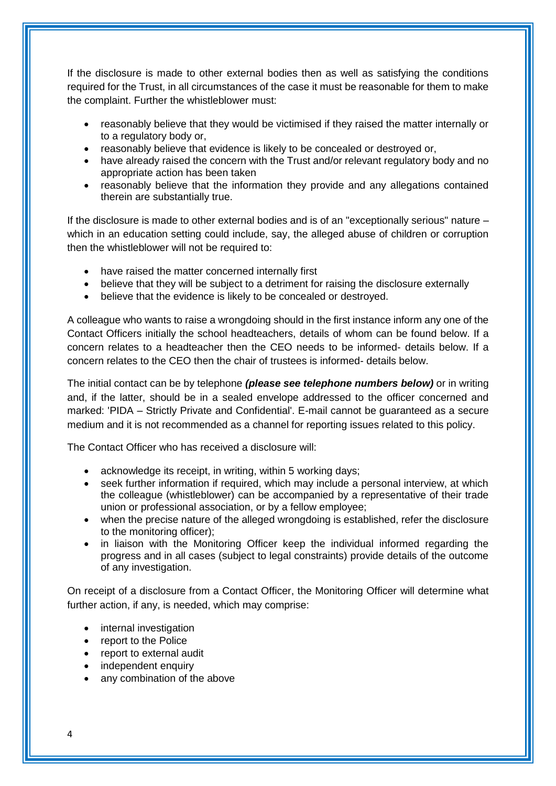If the disclosure is made to other external bodies then as well as satisfying the conditions required for the Trust, in all circumstances of the case it must be reasonable for them to make the complaint. Further the whistleblower must:

- reasonably believe that they would be victimised if they raised the matter internally or to a regulatory body or,
- reasonably believe that evidence is likely to be concealed or destroyed or,
- have already raised the concern with the Trust and/or relevant regulatory body and no appropriate action has been taken
- reasonably believe that the information they provide and any allegations contained therein are substantially true.

If the disclosure is made to other external bodies and is of an "exceptionally serious" nature – which in an education setting could include, say, the alleged abuse of children or corruption then the whistleblower will not be required to:

- have raised the matter concerned internally first
- believe that they will be subject to a detriment for raising the disclosure externally
- believe that the evidence is likely to be concealed or destroyed.

A colleague who wants to raise a wrongdoing should in the first instance inform any one of the Contact Officers initially the school headteachers, details of whom can be found below. If a concern relates to a headteacher then the CEO needs to be informed- details below. If a concern relates to the CEO then the chair of trustees is informed- details below.

The initial contact can be by telephone *(please see telephone numbers below)* or in writing and, if the latter, should be in a sealed envelope addressed to the officer concerned and marked: 'PIDA – Strictly Private and Confidential'. E-mail cannot be guaranteed as a secure medium and it is not recommended as a channel for reporting issues related to this policy.

The Contact Officer who has received a disclosure will:

- acknowledge its receipt, in writing, within 5 working days;
- seek further information if required, which may include a personal interview, at which the colleague (whistleblower) can be accompanied by a representative of their trade union or professional association, or by a fellow employee;
- when the precise nature of the alleged wrongdoing is established, refer the disclosure to the monitoring officer);
- in liaison with the Monitoring Officer keep the individual informed regarding the progress and in all cases (subject to legal constraints) provide details of the outcome of any investigation.

On receipt of a disclosure from a Contact Officer, the Monitoring Officer will determine what further action, if any, is needed, which may comprise:

- internal investigation
- report to the Police
- report to external audit
- independent enquiry
- any combination of the above